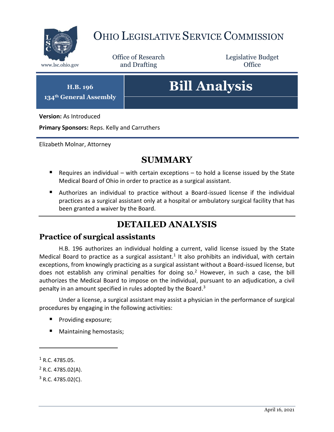

## OHIO LEGISLATIVE SERVICE COMMISSION

Office of Research www.lsc.ohio.gov **and Drafting Office** 

Legislative Budget

**H.B. 196 134th General Assembly**

# **Bill Analysis**

**Version:** As Introduced

**Primary Sponsors:** Reps. Kelly and Carruthers

Elizabeth Molnar, Attorney

## **SUMMARY**

- Requires an individual with certain exceptions to hold a license issued by the State Medical Board of Ohio in order to practice as a surgical assistant.
- Authorizes an individual to practice without a Board-issued license if the individual practices as a surgical assistant only at a hospital or ambulatory surgical facility that has been granted a waiver by the Board.

## **DETAILED ANALYSIS**

#### **Practice of surgical assistants**

H.B. 196 authorizes an individual holding a current, valid license issued by the State Medical Board to practice as a surgical assistant.<sup>1</sup> It also prohibits an individual, with certain exceptions, from knowingly practicing as a surgical assistant without a Board-issued license, but does not establish any criminal penalties for doing so.<sup>2</sup> However, in such a case, the bill authorizes the Medical Board to impose on the individual, pursuant to an adjudication, a civil penalty in an amount specified in rules adopted by the Board.<sup>3</sup>

Under a license, a surgical assistant may assist a physician in the performance of surgical procedures by engaging in the following activities:

- Providing exposure;
- Maintaining hemostasis;

 $\overline{a}$ 

 $1$  R.C. 4785.05.

 $2$  R.C. 4785.02(A).

 $3$  R.C. 4785.02(C).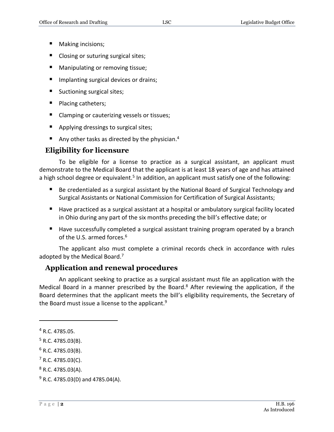- Making incisions;
- Closing or suturing surgical sites;
- **Manipulating or removing tissue;**
- **Implanting surgical devices or drains;**
- Suctioning surgical sites;
- **Placing catheters;**
- Clamping or cauterizing vessels or tissues;
- Applying dressings to surgical sites;
- Any other tasks as directed by the physician.<sup>4</sup>

#### **Eligibility for licensure**

To be eligible for a license to practice as a surgical assistant, an applicant must demonstrate to the Medical Board that the applicant is at least 18 years of age and has attained a high school degree or equivalent.<sup>5</sup> In addition, an applicant must satisfy one of the following:

- Be credentialed as a surgical assistant by the National Board of Surgical Technology and Surgical Assistants or National Commission for Certification of Surgical Assistants;
- Have practiced as a surgical assistant at a hospital or ambulatory surgical facility located in Ohio during any part of the six months preceding the bill's effective date; or
- Have successfully completed a surgical assistant training program operated by a branch of the U.S. armed forces.<sup>6</sup>

The applicant also must complete a criminal records check in accordance with rules adopted by the Medical Board.<sup>7</sup>

#### **Application and renewal procedures**

An applicant seeking to practice as a surgical assistant must file an application with the Medical Board in a manner prescribed by the Board.<sup>8</sup> After reviewing the application, if the Board determines that the applicant meets the bill's eligibility requirements, the Secretary of the Board must issue a license to the applicant.<sup>9</sup>

 $\overline{a}$ 

<sup>4</sup> R.C. 4785.05.

 $5$  R.C. 4785.03(B).

 $6$  R.C. 4785.03(B).

 $7$  R.C. 4785.03(C).

 $8$  R.C. 4785.03(A).

 $9$  R.C. 4785.03(D) and 4785.04(A).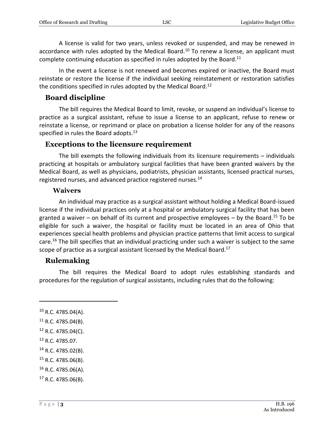A license is valid for two years, unless revoked or suspended, and may be renewed in accordance with rules adopted by the Medical Board.<sup>10</sup> To renew a license, an applicant must complete continuing education as specified in rules adopted by the Board.<sup>11</sup>

In the event a license is not renewed and becomes expired or inactive, the Board must reinstate or restore the license if the individual seeking reinstatement or restoration satisfies the conditions specified in rules adopted by the Medical Board.<sup>12</sup>

#### **Board discipline**

The bill requires the Medical Board to limit, revoke, or suspend an individual's license to practice as a surgical assistant, refuse to issue a license to an applicant, refuse to renew or reinstate a license, or reprimand or place on probation a license holder for any of the reasons specified in rules the Board adopts.<sup>13</sup>

#### **Exceptions to the licensure requirement**

The bill exempts the following individuals from its licensure requirements – individuals practicing at hospitals or ambulatory surgical facilities that have been granted waivers by the Medical Board, as well as physicians, podiatrists, physician assistants, licensed practical nurses, registered nurses, and advanced practice registered nurses.<sup>14</sup>

#### **Waivers**

An individual may practice as a surgical assistant without holding a Medical Board-issued license if the individual practices only at a hospital or ambulatory surgical facility that has been granted a waiver – on behalf of its current and prospective employees – by the Board.<sup>15</sup> To be eligible for such a waiver, the hospital or facility must be located in an area of Ohio that experiences special health problems and physician practice patterns that limit access to surgical care.<sup>16</sup> The bill specifies that an individual practicing under such a waiver is subject to the same scope of practice as a surgical assistant licensed by the Medical Board.<sup>17</sup>

#### **Rulemaking**

The bill requires the Medical Board to adopt rules establishing standards and procedures for the regulation of surgical assistants, including rules that do the following:

 $\overline{a}$ 

<sup>15</sup> R.C. 4785.06(B).

 $10$  R.C. 4785.04(A).

 $11$  R.C. 4785.04(B).

<sup>12</sup> R.C. 4785.04(C).

<sup>13</sup> R.C. 4785.07.

<sup>14</sup> R.C. 4785.02(B).

 $16$  R.C. 4785.06(A).

 $17$  R.C. 4785.06(B).